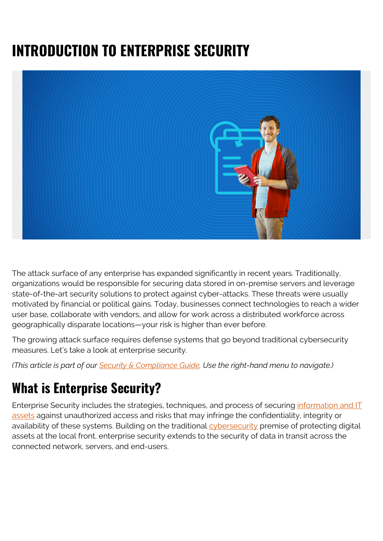# **INTRODUCTION TO ENTERPRISE SECURITY**



The attack surface of any enterprise has expanded significantly in recent years. Traditionally, organizations would be responsible for securing data stored in on-premise servers and leverage state-of-the-art security solutions to protect against cyber-attacks. These threats were usually motivated by financial or political gains. Today, businesses connect technologies to reach a wider user base, collaborate with vendors, and allow for work across a distributed workforce across geographically disparate locations—your risk is higher than ever before.

The growing attack surface requires defense systems that go beyond traditional cybersecurity measures. Let's take a look at enterprise security.

*(This article is part of our [Security & Compliance Guide](https://blogs.bmc.com/blogs/security-introduction/). Use the right-hand menu to navigate.)*

### **What is Enterprise Security?**

Enterprise Security includes the strategies, techniques, and process of securing [information and IT](https://blogs.bmc.com/blogs/asset-management-vs-configuration-management/) [assets](https://blogs.bmc.com/blogs/asset-management-vs-configuration-management/) against unauthorized access and risks that may infringe the confidentiality, integrity or availability of these systems. Building on the traditional [cybersecurity](https://blogs.bmc.com/blogs/cybersecurity/) premise of protecting digital assets at the local front, enterprise security extends to the security of data in transit across the connected network, servers, and end-users.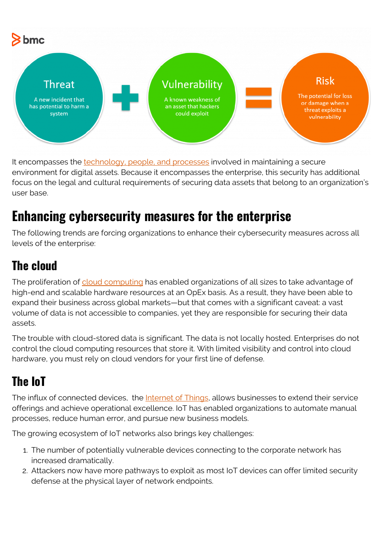

It encompasses the [technology, people, and processes](https://blogs.bmc.com/blogs/people-process-technology/) involved in maintaining a secure environment for digital assets. Because it encompasses the enterprise, this security has additional focus on the legal and cultural requirements of securing data assets that belong to an organization's user base.

## **Enhancing cybersecurity measures for the enterprise**

The following trends are forcing organizations to enhance their cybersecurity measures across all levels of the enterprise:

#### **The cloud**

The proliferation of [cloud computing](https://blogs.bmc.com/blogs/advantages-benefits-cloud-computing/) has enabled organizations of all sizes to take advantage of high-end and scalable hardware resources at an OpEx basis. As a result, they have been able to expand their business across global markets—but that comes with a significant caveat: a vast volume of data is not accessible to companies, yet they are responsible for securing their data assets.

The trouble with cloud-stored data is significant. The data is not locally hosted. Enterprises do not control the cloud computing resources that store it. With limited visibility and control into cloud hardware, you must rely on cloud vendors for your first line of defense.

### **The IoT**

The influx of connected devices, the [Internet of Things,](https://blogs.bmc.com/blogs/iot-internet-of-things/) allows businesses to extend their service offerings and achieve operational excellence. IoT has enabled organizations to automate manual processes, reduce human error, and pursue new business models.

The growing ecosystem of IoT networks also brings key challenges:

- 1. The number of potentially vulnerable devices connecting to the corporate network has increased dramatically.
- 2. Attackers now have more pathways to exploit as most IoT devices can offer limited security defense at the physical layer of network endpoints.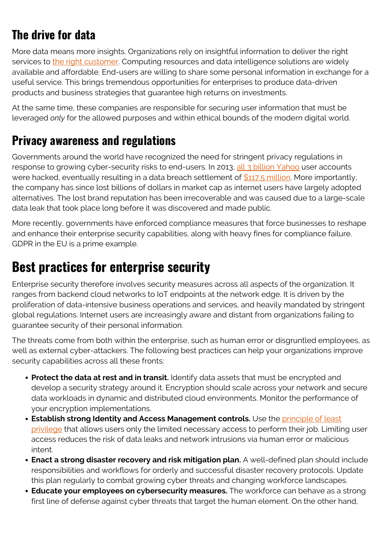#### **The drive for data**

More data means more insights. Organizations rely on insightful information to deliver the right services to [the right customer](https://blogs.bmc.com/blogs/internal-vs-external-customers/). Computing resources and data intelligence solutions are widely available and affordable. End-users are willing to share some personal information in exchange for a useful service. This brings tremendous opportunities for enterprises to produce data-driven products and business strategies that guarantee high returns on investments.

At the same time, these companies are responsible for securing user information that must be leveraged *only* for the allowed purposes and within ethical bounds of the modern digital world.

#### **Privacy awareness and regulations**

Governments around the world have recognized the need for stringent privacy regulations in response to growing cyber-security risks to end-users. In 2013, [all 3 billion Yahoo](https://www.reuters.com/article/us-yahoo-cyber/yahoo-says-all-three-billion-accounts-hacked-in-2013-data-theft-idUSKCN1C82O1) user accounts were hacked, eventually resulting in a data breach settlement of  $$117.5$  million. More importantly, the company has since lost billions of dollars in market cap as internet users have largely adopted alternatives. The lost brand reputation has been irrecoverable and was caused due to a large-scale data leak that took place long before it was discovered and made public.

More recently, governments have enforced compliance measures that force businesses to reshape and enhance their enterprise security capabilities, along with heavy fines for compliance failure. GDPR in the EU is a prime example.

#### **Best practices for enterprise security**

Enterprise security therefore involves security measures across all aspects of the organization. It ranges from backend cloud networks to IoT endpoints at the network edge. It is driven by the proliferation of data-intensive business operations and services, and heavily mandated by stringent global regulations. Internet users are increasingly aware and distant from organizations failing to guarantee security of their personal information.

The threats come from both within the enterprise, such as human error or disgruntled employees, as well as external cyber-attackers. The following best practices can help your organizations improve security capabilities across all these fronts:

- **Protect the data at rest and in transit.** Identify data assets that must be encrypted and develop a security strategy around it. Encryption should scale across your network and secure data workloads in dynamic and distributed cloud environments. Monitor the performance of your encryption implementations.
- **Establish strong Identity and Access Management controls.** Use the [principle of least](https://blogs.bmc.com/blogs/identity-access-management/) [privilege](https://blogs.bmc.com/blogs/identity-access-management/) that allows users only the limited necessary access to perform their job. Limiting user access reduces the risk of data leaks and network intrusions via human error or malicious intent.
- **Enact a strong disaster recovery and risk mitigation plan.** A well-defined plan should include responsibilities and workflows for orderly and successful disaster recovery protocols. Update this plan regularly to combat growing cyber threats and changing workforce landscapes.
- **Educate your employees on cybersecurity measures.** The workforce can behave as a strong first line of defense against cyber threats that target the human element. On the other hand,